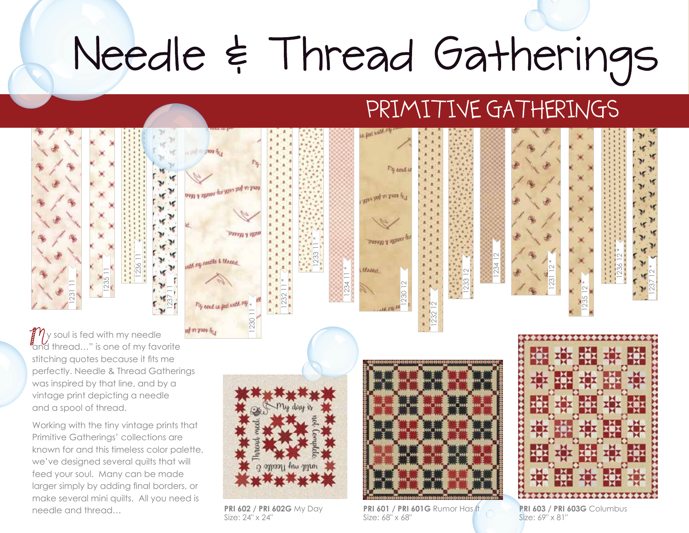## Needle & Thread Gatherings

## PRIMITIVE GATHERINGS



known for and this timeless color palette, we've designed several quilts that will feed your soul. Many can be made larger simply by adding final borders, or make several mini quilts. All you need is needle and thread… **PRI 602 / PRI 602G** My Day

Size: 24" x 24"

**PRI 601 / PRI 601G** Rumor Has It Size: 68" x 68"

**PRI 603 / PRI 603G** Columbus Size: 69" x 81"